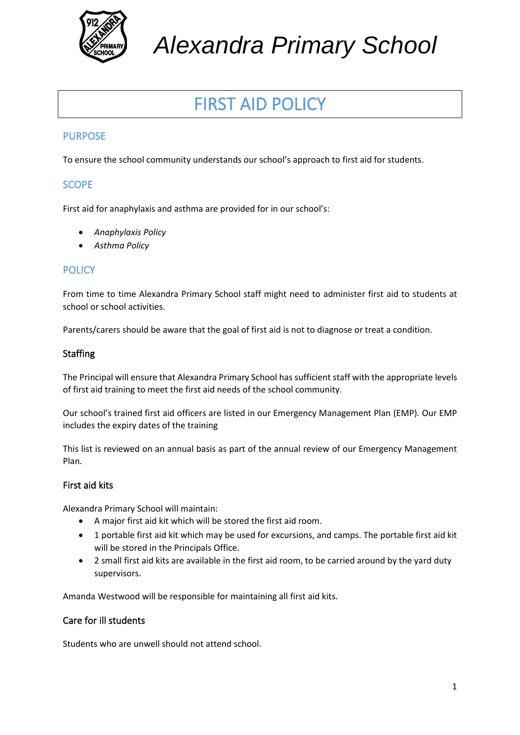

*Alexandra Primary School*

# FIRST AID POLICY

## PURPOSE

To ensure the school community understands our school's approach to first aid for students.

## **SCOPE**

First aid for anaphylaxis and asthma are provided for in our school's:

- *Anaphylaxis Policy*
- *Asthma Policy*

#### **POLICY**

From time to time Alexandra Primary School staff might need to administer first aid to students at school or school activities.

Parents/carers should be aware that the goal of first aid is not to diagnose or treat a condition.

#### **Staffing**

The Principal will ensure that Alexandra Primary School has sufficient staff with the appropriate levels of first aid training to meet the first aid needs of the school community.

Our school's trained first aid officers are listed in our Emergency Management Plan (EMP). Our EMP includes the expiry dates of the training

This list is reviewed on an annual basis as part of the annual review of our Emergency Management Plan.

#### First aid kits

Alexandra Primary School will maintain:

- A major first aid kit which will be stored the first aid room.
- 1 portable first aid kit which may be used for excursions, and camps. The portable first aid kit will be stored in the Principals Office.
- 2 small first aid kits are available in the first aid room, to be carried around by the yard duty supervisors.

Amanda Westwood will be responsible for maintaining all first aid kits.

#### Care for ill students

Students who are unwell should not attend school.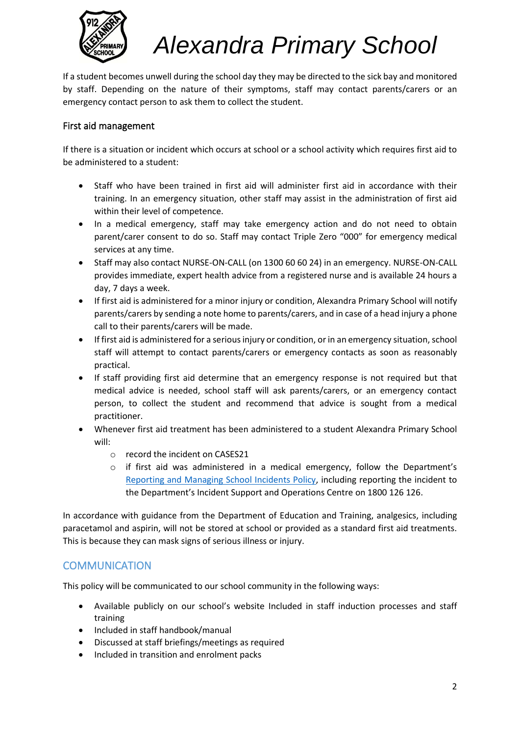

# *Alexandra Primary School*

If a student becomes unwell during the school day they may be directed to the sick bay and monitored by staff. Depending on the nature of their symptoms, staff may contact parents/carers or an emergency contact person to ask them to collect the student.

### First aid management

If there is a situation or incident which occurs at school or a school activity which requires first aid to be administered to a student:

- Staff who have been trained in first aid will administer first aid in accordance with their training. In an emergency situation, other staff may assist in the administration of first aid within their level of competence.
- In a medical emergency, staff may take emergency action and do not need to obtain parent/carer consent to do so. Staff may contact Triple Zero "000" for emergency medical services at any time.
- Staff may also contact NURSE-ON-CALL (on 1300 60 60 24) in an emergency. NURSE-ON-CALL provides immediate, expert health advice from a registered nurse and is available 24 hours a day, 7 days a week.
- If first aid is administered for a minor injury or condition, Alexandra Primary School will notify parents/carers by sending a note home to parents/carers, and in case of a head injury a phone call to their parents/carers will be made.
- If first aid is administered for a serious injury or condition, or in an emergency situation, school staff will attempt to contact parents/carers or emergency contacts as soon as reasonably practical.
- If staff providing first aid determine that an emergency response is not required but that medical advice is needed, school staff will ask parents/carers, or an emergency contact person, to collect the student and recommend that advice is sought from a medical practitioner.
- Whenever first aid treatment has been administered to a student Alexandra Primary School will:
	- o record the incident on CASES21
	- $\circ$  if first aid was administered in a medical emergency, follow the Department's [Reporting and Managing School Incidents Policy,](https://www2.education.vic.gov.au/pal/reporting-and-managing-school-incidents-including-emergencies/policy) including reporting the incident to the Department's Incident Support and Operations Centre on 1800 126 126.

In accordance with guidance from the Department of Education and Training, analgesics, including paracetamol and aspirin, will not be stored at school or provided as a standard first aid treatments. This is because they can mask signs of serious illness or injury.

# **COMMUNICATION**

This policy will be communicated to our school community in the following ways:

- Available publicly on our school's website Included in staff induction processes and staff training
- Included in staff handbook/manual
- Discussed at staff briefings/meetings as required
- Included in transition and enrolment packs